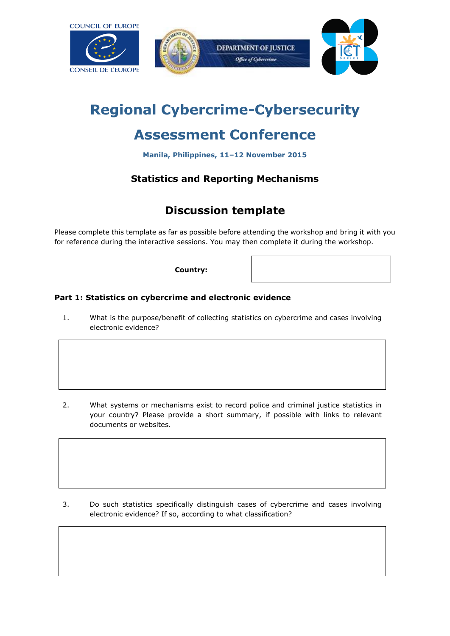







# **Regional Cybercrime-Cybersecurity**

# **Assessment Conference**

**Manila, Philippines, 11–12 November 2015**

## **Statistics and Reporting Mechanisms**

# **Discussion template**

Please complete this template as far as possible before attending the workshop and bring it with you for reference during the interactive sessions. You may then complete it during the workshop.

**Country:**

## **Part 1: Statistics on cybercrime and electronic evidence**

1. What is the purpose/benefit of collecting statistics on cybercrime and cases involving electronic evidence?

2. What systems or mechanisms exist to record police and criminal justice statistics in your country? Please provide a short summary, if possible with links to relevant documents or websites.

3. Do such statistics specifically distinguish cases of cybercrime and cases involving electronic evidence? If so, according to what classification?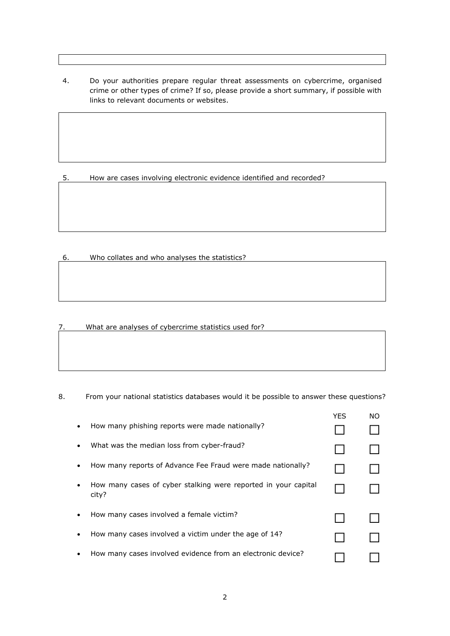4. Do your authorities prepare regular threat assessments on cybercrime, organised crime or other types of crime? If so, please provide a short summary, if possible with links to relevant documents or websites.

5. How are cases involving electronic evidence identified and recorded?

6. Who collates and who analyses the statistics?

7. What are analyses of cybercrime statistics used for?

8. From your national statistics databases would it be possible to answer these questions?

|   |                                                                         | <b>YFS</b> | NO. |
|---|-------------------------------------------------------------------------|------------|-----|
|   | How many phishing reports were made nationally?                         |            |     |
| ٠ | What was the median loss from cyber-fraud?                              |            |     |
|   | How many reports of Advance Fee Fraud were made nationally?             |            |     |
|   | How many cases of cyber stalking were reported in your capital<br>city? |            |     |
|   | How many cases involved a female victim?                                |            |     |
|   | How many cases involved a victim under the age of 14?                   |            |     |
|   | How many cases involved evidence from an electronic device?             |            |     |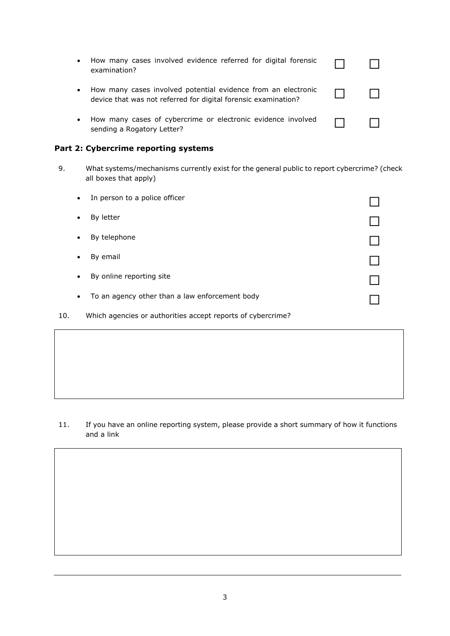| $\bullet$ | How many cases involved evidence referred for digital forensic<br>examination?                                                  |  |
|-----------|---------------------------------------------------------------------------------------------------------------------------------|--|
| $\bullet$ | How many cases involved potential evidence from an electronic<br>device that was not referred for digital forensic examination? |  |
|           | How many cases of cybercrime or electronic evidence involved<br>sending a Rogatory Letter?                                      |  |

### **Part 2: Cybercrime reporting systems**

9. What systems/mechanisms currently exist for the general public to report cybercrime? (check all boxes that apply)

| $\bullet$ | In person to a police officer                  |  |
|-----------|------------------------------------------------|--|
|           | By letter                                      |  |
|           | By telephone                                   |  |
|           | By email                                       |  |
|           | By online reporting site                       |  |
| $\bullet$ | To an agency other than a law enforcement body |  |

10. Which agencies or authorities accept reports of cybercrime?

#### 11. If you have an online reporting system, please provide a short summary of how it functions and a link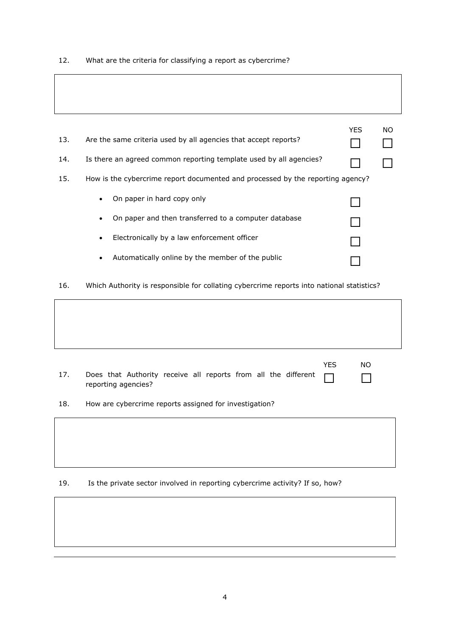### 12. What are the criteria for classifying a report as cybercrime?

|     |                                                                                | YES. | NO. |
|-----|--------------------------------------------------------------------------------|------|-----|
| 13. | Are the same criteria used by all agencies that accept reports?                |      |     |
| 14. | Is there an agreed common reporting template used by all agencies?             |      |     |
| 15. | How is the cybercrime report documented and processed by the reporting agency? |      |     |
|     | On paper in hard copy only<br>$\bullet$                                        |      |     |
|     | On paper and then transferred to a computer database                           |      |     |
|     | Electronically by a law enforcement officer<br>$\bullet$                       |      |     |
|     | Automatically online by the member of the public                               |      |     |

16. Which Authority is responsible for collating cybercrime reports into national statistics?

| 17. | Does that Authority receive all reports from all the different<br>reporting agencies? | <b>YES</b> | <b>NO</b> |
|-----|---------------------------------------------------------------------------------------|------------|-----------|
| 18. | How are cybercrime reports assigned for investigation?                                |            |           |
|     |                                                                                       |            |           |
|     |                                                                                       |            |           |

19. Is the private sector involved in reporting cybercrime activity? If so, how?